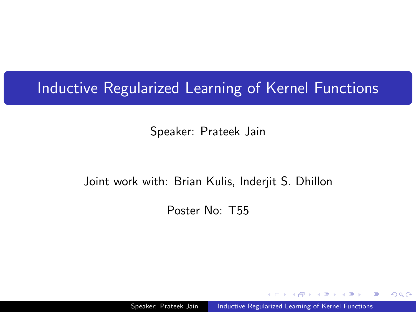### Inductive Regularized Learning of Kernel Functions

Speaker: Prateek Jain

#### Joint work with: Brian Kulis, Inderjit S. Dhillon

Poster No: T55

Speaker: Prateek Jain | Inductive Regularized Learning of Kernel Functions

 $QQ$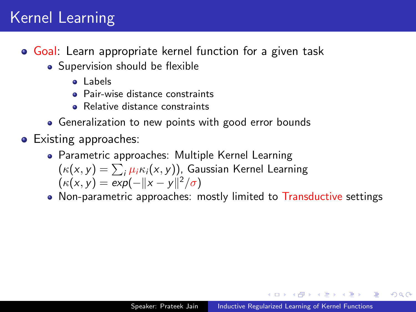## Kernel Learning

- Goal: Learn appropriate kernel function for a given task
	- Supervision should be flexible
		- a Labels
		- **A** Pair-wise distance constraints
		- Relative distance constraints
	- Generalization to new points with good error bounds
- Existing approaches:
	- Parametric approaches: Multiple Kernel Learning  $\left(\kappa(\mathsf{x}, y)=\sum_i \mu_i \kappa_i(\mathsf{x}, y)\right)$ , Gaussian Kernel Learning  $(\kappa(x, y) = \exp(-\|x - y\|^2 / \sigma)$
	- Non-parametric approaches: mostly limited to Transductive settings

医骨盆 医骨盆

 $200$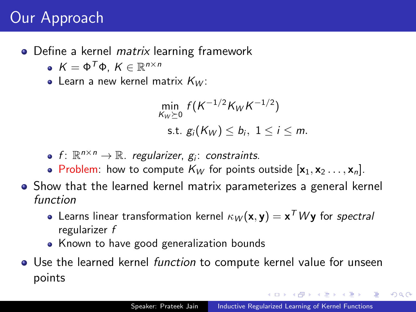# Our Approach

• Define a kernel *matrix* learning framework

- $K = \Phi^T \Phi$ ,  $K \in \mathbb{R}^{n \times n}$
- Learn a new kernel matrix  $K_W$ :

$$
\min_{K_W \succeq 0} f(K^{-1/2}K_WK^{-1/2})
$$
\n
$$
\text{s.t. } g_i(K_W) \leq b_i, \ 1 \leq i \leq m.
$$

- f:  $\mathbb{R}^{n \times n} \to \mathbb{R}$ . regularizer,  $g_i$ : constraints.
- Problem: how to compute  $K_W$  for points outside  $[\mathbf{x}_1, \mathbf{x}_2 \dots, \mathbf{x}_n]$ .
- Show that the learned kernel matrix parameterizes a general kernel function
	- Learns linear transformation kernel  $\kappa_W(\mathbf{x},\mathbf{y})=\mathbf{x}^\mathsf{T}$  W $\mathbf{y}$  for *spectral* regularizer f
	- Known to have good generalization bounds
- Use the learned kernel *function* to compute kernel value for unseen points

na na mara na mara na mara

 $200$